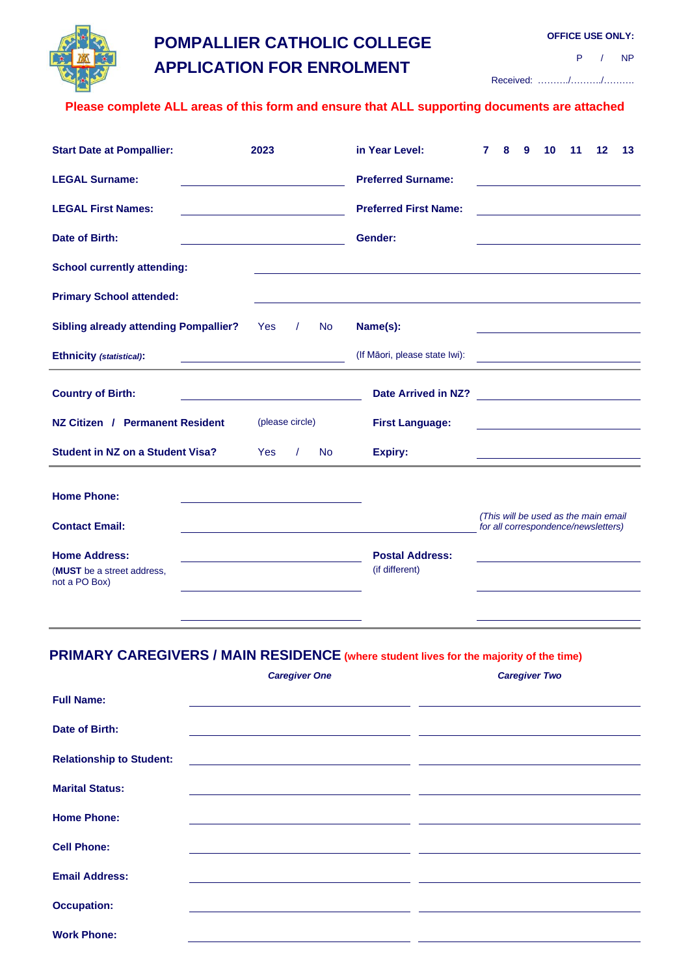

# **POMPALLIER CATHOLIC COLLEGE APPLICATION FOR ENROLMENT**

**OFFICE USE ONLY:**

P / NP

Received: ………./………./……….

### **Please complete ALL areas of this form and ensure that ALL supporting documents are attached**

| <b>Start Date at Pompallier:</b>             | 2023                                                                                      |                                                                                                      |           | in Year Level:               | 7 | 8 | 9 | 10 | 11 | 12                                                                                                                   | 13 |
|----------------------------------------------|-------------------------------------------------------------------------------------------|------------------------------------------------------------------------------------------------------|-----------|------------------------------|---|---|---|----|----|----------------------------------------------------------------------------------------------------------------------|----|
| <b>LEGAL Surname:</b>                        |                                                                                           | <b>Preferred Surname:</b>                                                                            |           |                              |   |   |   |    |    |                                                                                                                      |    |
| <b>LEGAL First Names:</b>                    |                                                                                           |                                                                                                      |           | <b>Preferred First Name:</b> |   |   |   |    |    |                                                                                                                      |    |
| Date of Birth:                               | the control of the control of the control of the control of the control of the control of |                                                                                                      |           | Gender:                      |   |   |   |    |    |                                                                                                                      |    |
| <b>School currently attending:</b>           |                                                                                           |                                                                                                      |           |                              |   |   |   |    |    |                                                                                                                      |    |
| <b>Primary School attended:</b>              |                                                                                           |                                                                                                      |           |                              |   |   |   |    |    |                                                                                                                      |    |
| <b>Sibling already attending Pompallier?</b> | <b>Yes</b>                                                                                | $\prime$                                                                                             | <b>No</b> | Name(s):                     |   |   |   |    |    |                                                                                                                      |    |
| Ethnicity (statistical):                     |                                                                                           | (If Māori, please state Iwi):<br><u> 1989 - Johann Stein, mars an deus Amerikaansk kommunister (</u> |           |                              |   |   |   |    |    |                                                                                                                      |    |
| <b>Country of Birth:</b>                     |                                                                                           |                                                                                                      |           | <b>Date Arrived in NZ?</b>   |   |   |   |    |    | <u> 1989 - Jan Samuel Barbara, politik eta politik eta politik eta politik eta politik eta politik eta politik e</u> |    |
| NZ Citizen / Permanent Resident              |                                                                                           | (please circle)                                                                                      |           | <b>First Language:</b>       |   |   |   |    |    |                                                                                                                      |    |
| <b>Student in NZ on a Student Visa?</b>      | <b>Yes</b>                                                                                |                                                                                                      | <b>No</b> | <b>Expiry:</b>               |   |   |   |    |    |                                                                                                                      |    |
| <b>Home Phone:</b>                           |                                                                                           |                                                                                                      |           |                              |   |   |   |    |    |                                                                                                                      |    |
| <b>Contact Email:</b>                        |                                                                                           |                                                                                                      |           |                              |   |   |   |    |    | (This will be used as the main email<br>for all correspondence/newsletters)                                          |    |
| <b>Home Address:</b>                         |                                                                                           |                                                                                                      |           | <b>Postal Address:</b>       |   |   |   |    |    |                                                                                                                      |    |
| (MUST be a street address,<br>not a PO Box)  |                                                                                           |                                                                                                      |           | (if different)               |   |   |   |    |    |                                                                                                                      |    |
|                                              |                                                                                           |                                                                                                      |           |                              |   |   |   |    |    |                                                                                                                      |    |

# **PRIMARY CAREGIVERS / MAIN RESIDENCE (where student lives for the majority of the time)**

|                                 | <b>Caregiver One</b> | <b>Caregiver Two</b> |
|---------------------------------|----------------------|----------------------|
| <b>Full Name:</b>               |                      |                      |
| Date of Birth:                  |                      |                      |
| <b>Relationship to Student:</b> |                      |                      |
| <b>Marital Status:</b>          |                      |                      |
| <b>Home Phone:</b>              |                      |                      |
| <b>Cell Phone:</b>              |                      |                      |
| <b>Email Address:</b>           |                      |                      |
| <b>Occupation:</b>              |                      |                      |
| <b>Work Phone:</b>              |                      |                      |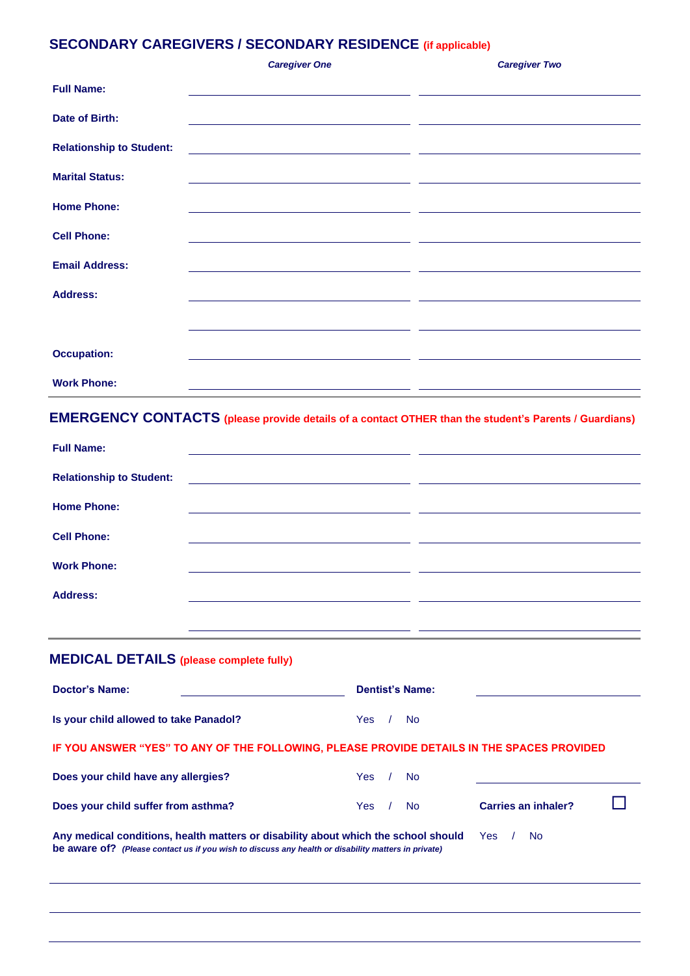# **SECONDARY CAREGIVERS / SECONDARY RESIDENCE (if applicable)**

|                                 | <b>Caregiver One</b>                                                                                                 | <b>Caregiver Two</b> |
|---------------------------------|----------------------------------------------------------------------------------------------------------------------|----------------------|
| <b>Full Name:</b>               |                                                                                                                      |                      |
| Date of Birth:                  |                                                                                                                      |                      |
| <b>Relationship to Student:</b> | <u> Alexandria de la contrada de la contrada de la contrada de la contrada de la contrada de la contrada de la c</u> |                      |
| <b>Marital Status:</b>          | <u> 1989 - Andrea Andrew Maria (h. 1989).</u><br>1905 - Andrew Maria (h. 1906).                                      |                      |
| <b>Home Phone:</b>              |                                                                                                                      |                      |
| <b>Cell Phone:</b>              | <u> 1989 - Andrea Andrew Maria (h. 1989).</u>                                                                        |                      |
| <b>Email Address:</b>           | <u> 1980 - Jan James, Amerikaansk politiker (</u> † 1920)                                                            |                      |
| <b>Address:</b>                 |                                                                                                                      |                      |
|                                 |                                                                                                                      |                      |
| <b>Occupation:</b>              |                                                                                                                      |                      |
| <b>Work Phone:</b>              |                                                                                                                      |                      |

# **EMERGENCY CONTACTS (please provide details of a contact OTHER than the student's Parents / Guardians)**

| <b>Full Name:</b>               |                                           |  |
|---------------------------------|-------------------------------------------|--|
|                                 |                                           |  |
| <b>Relationship to Student:</b> | <u> 2000 - Andrea Andrew Maria (h. 18</u> |  |
|                                 |                                           |  |
| <b>Home Phone:</b>              |                                           |  |
| <b>Cell Phone:</b>              |                                           |  |
|                                 |                                           |  |
| <b>Work Phone:</b>              |                                           |  |
|                                 |                                           |  |
| <b>Address:</b>                 |                                           |  |
|                                 |                                           |  |

# **MEDICAL DETAILS (please complete fully)**

| <b>Doctor's Name:</b>                                                                                                                                                                                    |      |  | <b>Dentist's Name:</b> |                     |  |
|----------------------------------------------------------------------------------------------------------------------------------------------------------------------------------------------------------|------|--|------------------------|---------------------|--|
| Is your child allowed to take Panadol?                                                                                                                                                                   | Yes. |  | <b>No</b>              |                     |  |
| IF YOU ANSWER "YES" TO ANY OF THE FOLLOWING, PLEASE PROVIDE DETAILS IN THE SPACES PROVIDED                                                                                                               |      |  |                        |                     |  |
| Does your child have any allergies?                                                                                                                                                                      | Yes: |  | <b>No</b>              |                     |  |
| Does your child suffer from asthma?                                                                                                                                                                      | Yes. |  | <b>No</b>              | Carries an inhaler? |  |
| Any medical conditions, health matters or disability about which the school should<br>Yes:<br>No.<br>be aware of? (Please contact us if you wish to discuss any health or disability matters in private) |      |  |                        |                     |  |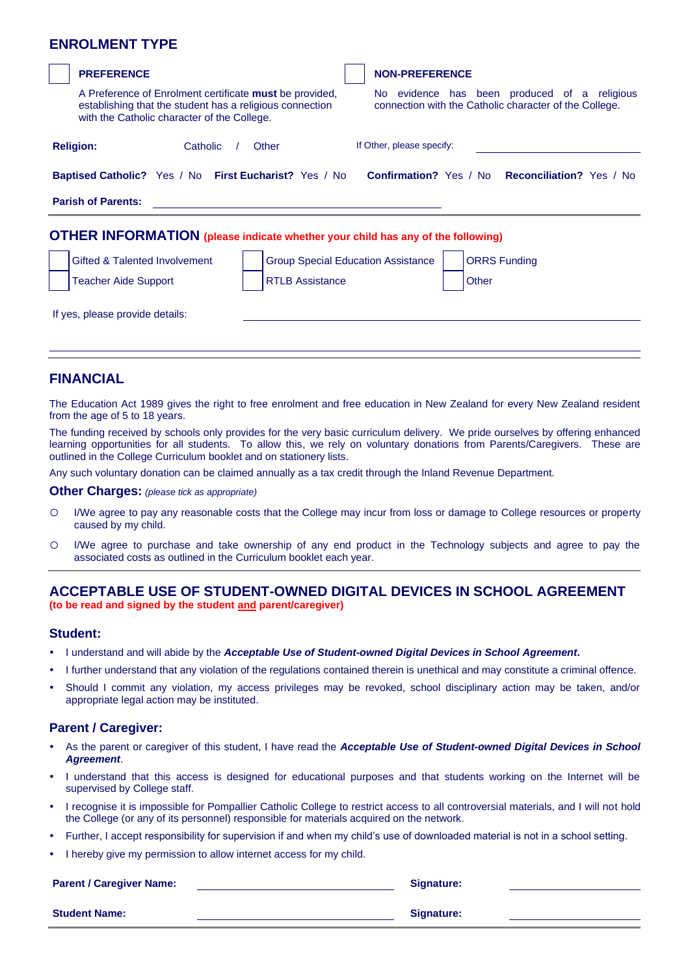### **ENROLMENT TYPE**

| <b>PREFERENCE</b>                                                                                                                                                         | <b>NON-PREFERENCE</b>                                                                                  |
|---------------------------------------------------------------------------------------------------------------------------------------------------------------------------|--------------------------------------------------------------------------------------------------------|
| A Preference of Enrolment certificate <b>must</b> be provided,<br>establishing that the student has a religious connection<br>with the Catholic character of the College. | No evidence has been produced of a religious<br>connection with the Catholic character of the College. |
| <b>Religion:</b><br>Catholic<br>Other                                                                                                                                     | If Other, please specify:                                                                              |
| <b>Baptised Catholic?</b> Yes / No First Eucharist? Yes / No                                                                                                              | <b>Confirmation?</b> Yes / No <b>Reconciliation?</b> Yes / No                                          |
| <b>Parish of Parents:</b>                                                                                                                                                 |                                                                                                        |
| <b>OTHER INFORMATION</b> (please indicate whether your child has any of the following)                                                                                    |                                                                                                        |
| Gifted & Talented Involvement<br><b>Group Special Education Assistance</b>                                                                                                | <b>ORRS Funding</b>                                                                                    |
| <b>RTLB Assistance</b><br><b>Teacher Aide Support</b>                                                                                                                     | Other                                                                                                  |
| If yes, please provide details:                                                                                                                                           |                                                                                                        |

### **FINANCIAL**

The Education Act 1989 gives the right to free enrolment and free education in New Zealand for every New Zealand resident from the age of 5 to 18 years.

The funding received by schools only provides for the very basic curriculum delivery. We pride ourselves by offering enhanced learning opportunities for all students. To allow this, we rely on voluntary donations from Parents/Caregivers. These are outlined in the College Curriculum booklet and on stationery lists.

Any such voluntary donation can be claimed annually as a tax credit through the Inland Revenue Department.

**Other Charges:** *(please tick as appropriate)*

- o I/We agree to pay any reasonable costs that the College may incur from loss or damage to College resources or property caused by my child.
- o I/We agree to purchase and take ownership of any end product in the Technology subjects and agree to pay the associated costs as outlined in the Curriculum booklet each year.

#### **ACCEPTABLE USE OF STUDENT-OWNED DIGITAL DEVICES IN SCHOOL AGREEMENT (to be read and signed by the student and parent/caregiver)**

#### **Student:**

o

- I understand and will abide by the *Acceptable Use of Student-owned Digital Devices in School Agreement***.**
- I further understand that any violation of the regulations contained therein is unethical and may constitute a criminal offence.
- Should I commit any violation, my access privileges may be revoked, school disciplinary action may be taken, and/or appropriate legal action may be instituted.

#### **Parent / Caregiver:**

- As the parent or caregiver of this student, I have read the *Acceptable Use of Student-owned Digital Devices in School Agreement*.
- I understand that this access is designed for educational purposes and that students working on the Internet will be supervised by College staff.
- I recognise it is impossible for Pompallier Catholic College to restrict access to all controversial materials, and I will not hold the College (or any of its personnel) responsible for materials acquired on the network.
- Further, I accept responsibility for supervision if and when my child's use of downloaded material is not in a school setting.
- I hereby give my permission to allow internet access for my child.

#### **Parent / Caregiver Name: Signature:**

**Student Name: Signature:**